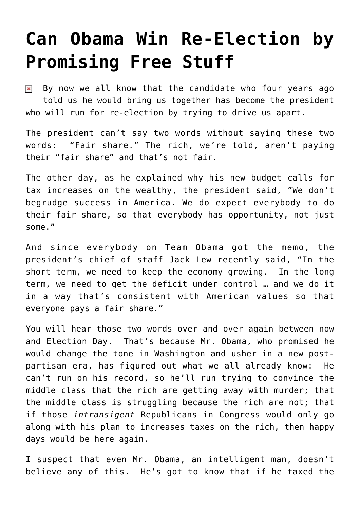## **[Can Obama Win Re-Election by](https://bernardgoldberg.com/can-obama-win-re-election-by-promising-free-stuff/) [Promising Free Stuff](https://bernardgoldberg.com/can-obama-win-re-election-by-promising-free-stuff/)**

By now we all know that the candidate who four years ago  $\pmb{\times}$ told us he would bring us together has become the president who will run for re-election by trying to drive us apart.

The president can't say two words without saying these two words: "Fair share." The rich, we're told, aren't paying their "fair share" and that's not fair.

The other day, as he explained why his new budget calls for tax increases on the wealthy, the president said, "We don't begrudge success in America. We do expect everybody to do their fair share, so that everybody has opportunity, not just some."

And since everybody on Team Obama got the memo, the president's chief of staff Jack Lew recently said, "In the short term, we need to keep the economy growing. In the long term, we need to get the deficit under control … and we do it in a way that's consistent with American values so that everyone pays a fair share."

You will hear those two words over and over again between now and Election Day. That's because Mr. Obama, who promised he would change the tone in Washington and usher in a new postpartisan era, has figured out what we all already know: He can't run on his record, so he'll run trying to convince the middle class that the rich are getting away with murder; that the middle class is struggling because the rich are not; that if those *intransigent* Republicans in Congress would only go along with his plan to increases taxes on the rich, then happy days would be here again.

I suspect that even Mr. Obama, an intelligent man, doesn't believe any of this. He's got to know that if he taxed the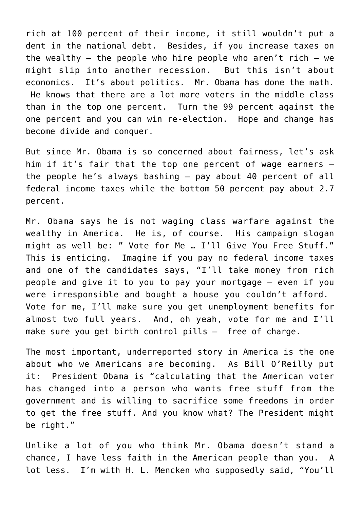rich at 100 percent of their income, it still wouldn't put a dent in the national debt. Besides, if you increase taxes on the wealthy – the people who hire people who aren't rich – we might slip into another recession. But this isn't about economics. It's about politics. Mr. Obama has done the math. He knows that there are a lot more voters in the middle class than in the top one percent. Turn the 99 percent against the one percent and you can win re-election. Hope and change has become divide and conquer.

But since Mr. Obama is so concerned about fairness, let's ask him if it's fair that the top one percent of wage earners – the people he's always bashing – pay about 40 percent of all federal income taxes while the bottom 50 percent pay about 2.7 percent.

Mr. Obama says he is not waging class warfare against the wealthy in America. He is, of course. His campaign slogan might as well be: " Vote for Me … I'll Give You Free Stuff." This is enticing. Imagine if you pay no federal income taxes and one of the candidates says, "I'll take money from rich people and give it to you to pay your mortgage – even if you were irresponsible and bought a house you couldn't afford. Vote for me, I'll make sure you get unemployment benefits for almost two full years. And, oh yeah, vote for me and I'll make sure you get birth control pills — free of charge.

The most important, underreported story in America is the one about who we Americans are becoming. As Bill O'Reilly put it: President Obama is "calculating that the American voter has changed into a person who wants free stuff from the government and is willing to sacrifice some freedoms in order to get the free stuff. And you know what? The President might be right."

Unlike a lot of you who think Mr. Obama doesn't stand a chance, I have less faith in the American people than you. A lot less. I'm with H. L. Mencken who supposedly said, "You'll